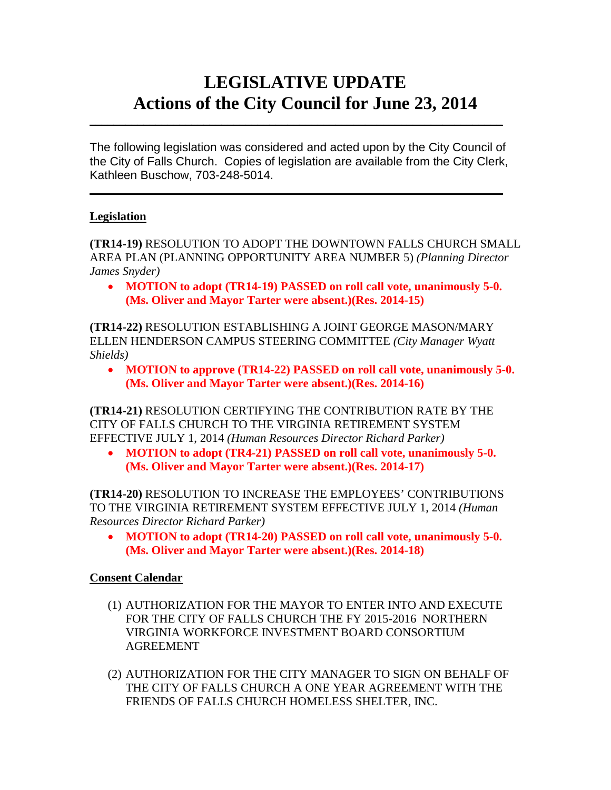# **LEGISLATIVE UPDATE Actions of the City Council for June 23, 2014**

The following legislation was considered and acted upon by the City Council of the City of Falls Church. Copies of legislation are available from the City Clerk, Kathleen Buschow, 703-248-5014.

 $\mathcal{L}_\text{max}$  and  $\mathcal{L}_\text{max}$  and  $\mathcal{L}_\text{max}$  and  $\mathcal{L}_\text{max}$  and  $\mathcal{L}_\text{max}$  and  $\mathcal{L}_\text{max}$ 

 $\mathcal{L}_\text{max}$  and  $\mathcal{L}_\text{max}$  and  $\mathcal{L}_\text{max}$  and  $\mathcal{L}_\text{max}$  and  $\mathcal{L}_\text{max}$  and  $\mathcal{L}_\text{max}$ 

# **Legislation**

**(TR14-19)** RESOLUTION TO ADOPT THE DOWNTOWN FALLS CHURCH SMALL AREA PLAN (PLANNING OPPORTUNITY AREA NUMBER 5) *(Planning Director James Snyder)*

• **MOTION to adopt (TR14-19) PASSED on roll call vote, unanimously 5-0. (Ms. Oliver and Mayor Tarter were absent.)(Res. 2014-15)**

**(TR14-22)** RESOLUTION ESTABLISHING A JOINT GEORGE MASON/MARY ELLEN HENDERSON CAMPUS STEERING COMMITTEE *(City Manager Wyatt Shields)*

• **MOTION to approve (TR14-22) PASSED on roll call vote, unanimously 5-0. (Ms. Oliver and Mayor Tarter were absent.)(Res. 2014-16)**

**(TR14-21)** RESOLUTION CERTIFYING THE CONTRIBUTION RATE BY THE CITY OF FALLS CHURCH TO THE VIRGINIA RETIREMENT SYSTEM EFFECTIVE JULY 1, 2014 *(Human Resources Director Richard Parker)*

• **MOTION to adopt (TR4-21) PASSED on roll call vote, unanimously 5-0. (Ms. Oliver and Mayor Tarter were absent.)(Res. 2014-17)**

**(TR14-20)** RESOLUTION TO INCREASE THE EMPLOYEES' CONTRIBUTIONS TO THE VIRGINIA RETIREMENT SYSTEM EFFECTIVE JULY 1, 2014 *(Human Resources Director Richard Parker)*

• **MOTION to adopt (TR14-20) PASSED on roll call vote, unanimously 5-0. (Ms. Oliver and Mayor Tarter were absent.)(Res. 2014-18)**

# **Consent Calendar**

- (1) AUTHORIZATION FOR THE MAYOR TO ENTER INTO AND EXECUTE FOR THE CITY OF FALLS CHURCH THE FY 2015-2016 NORTHERN VIRGINIA WORKFORCE INVESTMENT BOARD CONSORTIUM AGREEMENT
- (2) AUTHORIZATION FOR THE CITY MANAGER TO SIGN ON BEHALF OF THE CITY OF FALLS CHURCH A ONE YEAR AGREEMENT WITH THE FRIENDS OF FALLS CHURCH HOMELESS SHELTER, INC.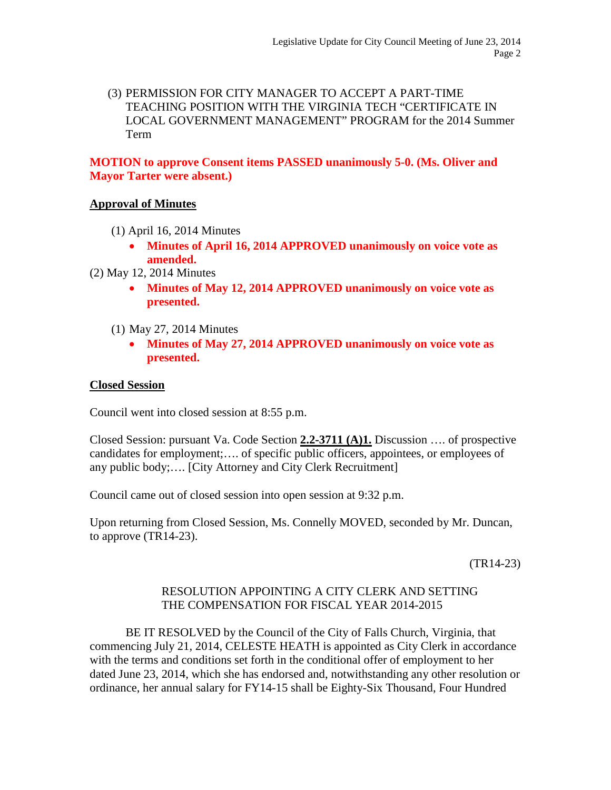(3) PERMISSION FOR CITY MANAGER TO ACCEPT A PART-TIME TEACHING POSITION WITH THE VIRGINIA TECH "CERTIFICATE IN LOCAL GOVERNMENT MANAGEMENT" PROGRAM for the 2014 Summer Term

**MOTION to approve Consent items PASSED unanimously 5-0. (Ms. Oliver and Mayor Tarter were absent.)**

# **Approval of Minutes**

- (1) April 16, 2014 Minutes
	- **Minutes of April 16, 2014 APPROVED unanimously on voice vote as amended.**
- (2) May 12, 2014 Minutes
	- **Minutes of May 12, 2014 APPROVED unanimously on voice vote as presented.**
	- (1) May 27, 2014 Minutes
		- **Minutes of May 27, 2014 APPROVED unanimously on voice vote as presented.**

#### **Closed Session**

Council went into closed session at 8:55 p.m.

Closed Session: pursuant Va. Code Section **2.2-3711 (A)1.** Discussion …. of prospective candidates for employment;…. of specific public officers, appointees, or employees of any public body;…. [City Attorney and City Clerk Recruitment]

Council came out of closed session into open session at 9:32 p.m.

Upon returning from Closed Session, Ms. Connelly MOVED, seconded by Mr. Duncan, to approve (TR14-23).

(TR14-23)

#### RESOLUTION APPOINTING A CITY CLERK AND SETTING THE COMPENSATION FOR FISCAL YEAR 2014-2015

BE IT RESOLVED by the Council of the City of Falls Church, Virginia, that commencing July 21, 2014, CELESTE HEATH is appointed as City Clerk in accordance with the terms and conditions set forth in the conditional offer of employment to her dated June 23, 2014, which she has endorsed and, notwithstanding any other resolution or ordinance, her annual salary for FY14-15 shall be Eighty-Six Thousand, Four Hundred